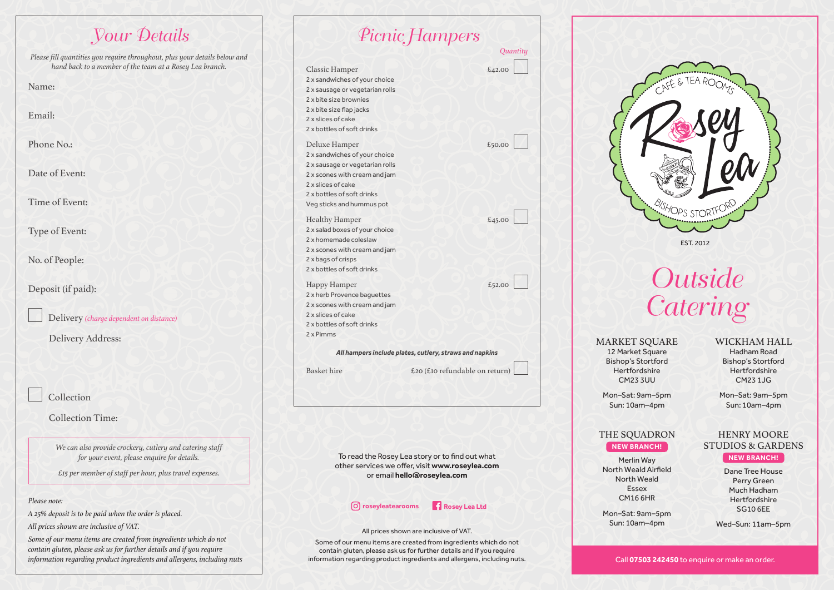| <b><i>Vour Details</i></b>                                                                                                             |
|----------------------------------------------------------------------------------------------------------------------------------------|
| Please fill quantities you require throughout, plus your details below and<br>hand back to a member of the team at a Rosey Lea branch. |
| Name:                                                                                                                                  |
| Email:                                                                                                                                 |
| Phone No.:                                                                                                                             |
| Date of Event:                                                                                                                         |
| Time of Event:                                                                                                                         |
| Type of Event:                                                                                                                         |
| No. of People:                                                                                                                         |
| Deposit (if paid):                                                                                                                     |
| Delivery (charge dependent on distance)                                                                                                |
| Delivery Address:                                                                                                                      |
| Collection                                                                                                                             |
| <b>Collection Time:</b>                                                                                                                |
| We can also provide crockery, cutlery and catering staff<br>for your event, please enquire for details.                                |
| £15 per member of staff per hour, plus travel expenses.                                                                                |
| Please note:                                                                                                                           |
| A 25% deposit is to be paid when the order is placed.<br>All prices shown are inclusive of VAT.                                        |

*Some of our menu items are created from ingredients which do not contain gluten, please ask us for further details and if you require information regarding product ingredients and allergens, including nuts*

|                                                                                                                                                                                                     | Picnic Hampers                                                                                                                    |
|-----------------------------------------------------------------------------------------------------------------------------------------------------------------------------------------------------|-----------------------------------------------------------------------------------------------------------------------------------|
|                                                                                                                                                                                                     | Quantity                                                                                                                          |
| Classic Hamper<br>2 x sandwiches of your choice<br>2 x sausage or vegetarian rolls<br>2 x bite size brownies<br>2 x bite size flap jacks<br>2 x slices of cake<br>2 x bottles of soft drinks        | £42.00                                                                                                                            |
| Deluxe Hamper<br>2 x sandwiches of your choice<br>2 x sausage or vegetarian rolls<br>2 x scones with cream and jam<br>2 x slices of cake<br>2 x bottles of soft drinks<br>Veg sticks and hummus pot | £50.00                                                                                                                            |
| <b>Healthy Hamper</b><br>2 x salad boxes of your choice<br>2 x homemade coleslaw<br>2 x scones with cream and jam<br>2 x bags of crisps<br>2 x bottles of soft drinks                               | £45.00                                                                                                                            |
| Happy Hamper<br>2 x herb Provence baguettes<br>2 x scones with cream and jam<br>2 x slices of cake<br>2 x bottles of soft drinks<br>2 x Pimms                                                       | £52.00                                                                                                                            |
|                                                                                                                                                                                                     | All hampers include plates, cutlery, straws and napkins                                                                           |
| <b>Basket</b> hire                                                                                                                                                                                  | £20 (£10 refundable on return)                                                                                                    |
|                                                                                                                                                                                                     | To read the Rosey Lea story or to find out what<br>other services we offer, visit www.roseylea.com<br>or email hello@roseylea.com |
| (O) roseyleatearooms                                                                                                                                                                                | Rosey Lea Ltd                                                                                                                     |
|                                                                                                                                                                                                     | All prices shown are inclusive of VAT.                                                                                            |

Some of our menu items are created from ingredients which do not contain gluten, please ask us for further details and if you require information regarding product ingredients and allergens, including nuts.



**Outside Catering** 

MARKET SQUARE 12 Market Square Bishop's Stortford Hertfordshire CM23 3UU

#### WICKHAM HALL

Hadham Road Bishop's Stortford Hertfordshire CM23 1JG

Mon–Sat: 9am–5pm Sun: 10am–4pm

HENRY MOORE

**NEW BRANCH!** Dane Tree House Perry Green Much Hadham **Hertfordshire** 

Mon–Sat: 9am–5pm Sun: 10am–4pm

#### THE SQUADRON **NEW BRANCH!**

### STUDIOS & GARDENS

Merlin Way North Weald Airfield North Weald Essex CM16 6HR

Mon–Sat: 9am–5pm Sun: 10am–4pm

SG10 6EE Wed–Sun: 11am–5pm